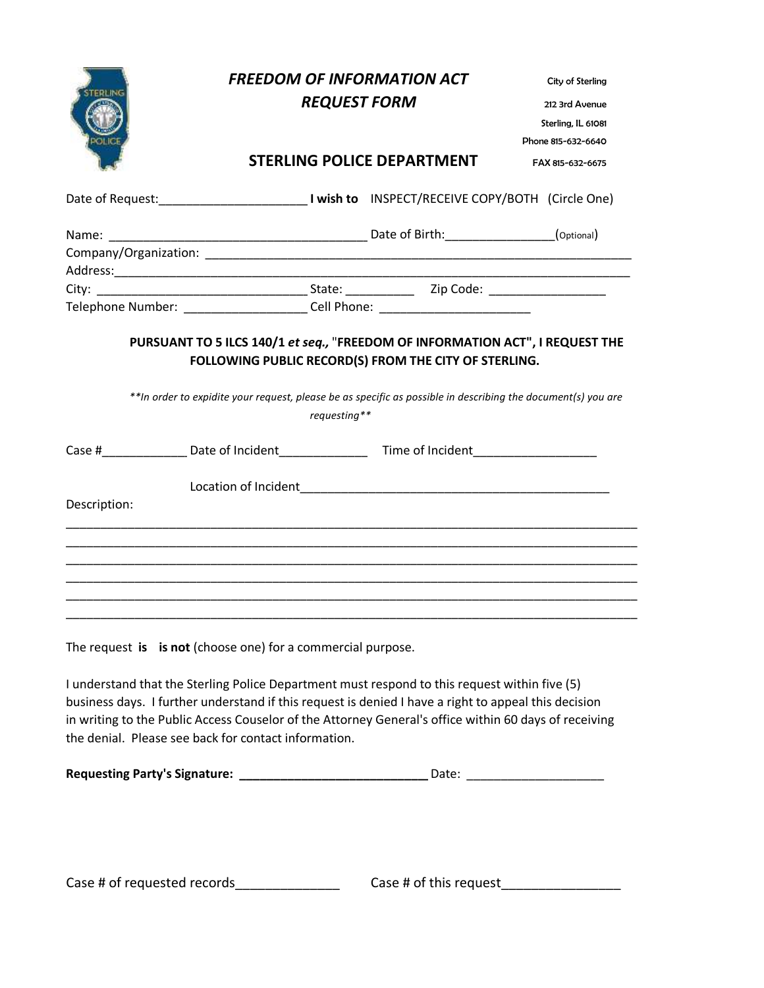|              |                                                              | <b>FREEDOM OF INFORMATION ACT</b><br><b>REQUEST FORM</b> |                                                                                                              | City of Sterling<br>212 3rd Avenue<br>Sterling, IL 61081 |  |
|--------------|--------------------------------------------------------------|----------------------------------------------------------|--------------------------------------------------------------------------------------------------------------|----------------------------------------------------------|--|
|              |                                                              |                                                          | <b>STERLING POLICE DEPARTMENT</b>                                                                            | Phone 815-632-6640                                       |  |
|              |                                                              |                                                          |                                                                                                              | FAX 815-632-6675                                         |  |
|              |                                                              |                                                          |                                                                                                              |                                                          |  |
|              |                                                              |                                                          |                                                                                                              |                                                          |  |
|              |                                                              |                                                          |                                                                                                              |                                                          |  |
|              |                                                              |                                                          |                                                                                                              |                                                          |  |
|              |                                                              |                                                          | Telephone Number: _______________________Cell Phone: ___________________________                             |                                                          |  |
|              |                                                              | requesting**                                             | **In order to expidite your request, please be as specific as possible in describing the document(s) you are |                                                          |  |
|              |                                                              |                                                          |                                                                                                              |                                                          |  |
|              |                                                              |                                                          |                                                                                                              |                                                          |  |
| Description: |                                                              |                                                          |                                                                                                              |                                                          |  |
|              |                                                              |                                                          |                                                                                                              |                                                          |  |
|              |                                                              |                                                          |                                                                                                              |                                                          |  |
|              |                                                              |                                                          |                                                                                                              |                                                          |  |
|              |                                                              |                                                          |                                                                                                              |                                                          |  |
|              | The request is is not (choose one) for a commercial purpose. |                                                          |                                                                                                              |                                                          |  |

I understand that the Sterling Police Department must respond to this request within five (5) business days. I further understand if this request is denied I have a right to appeal this decision in writing to the Public Access Couselor of the Attorney General's office within 60 days of receiving the denial. Please see back for contact information.

| <b>Requesting Party's Signature:</b> | Date: |
|--------------------------------------|-------|
|--------------------------------------|-------|

Case # of requested records\_\_\_\_\_\_\_\_\_\_\_\_\_\_\_\_\_\_\_\_\_\_\_\_ Case # of this request\_\_\_\_\_\_\_\_\_\_\_\_\_\_\_\_\_\_\_\_\_\_\_\_\_\_